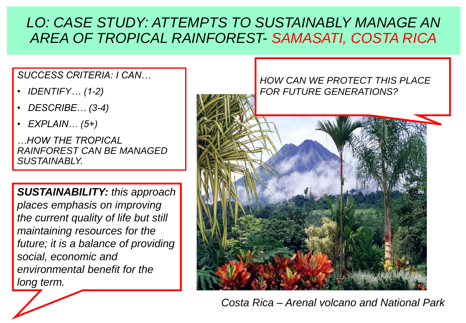## *LO: CASE STUDY: ATTEMPTS TO SUSTAINABLY MANAGE AN AREA OF TROPICAL RAINFOREST- SAMASATI, COSTA RICA*

*SUCCESS CRITERIA: I CAN…*

- *IDENTIFY… (1-2)*
- *DESCRIBE… (3-4)*
- *EXPLAIN… (5+)*

*…HOW THE TROPICAL RAINFOREST CAN BE MANAGED SUSTAINABLY.*

*SUSTAINABILITY: this approach places emphasis on improving the current quality of life but still maintaining resources for the future; it is a balance of providing social, economic and environmental benefit for the long term.*



*Costa Rica – Arenal volcano and National Park*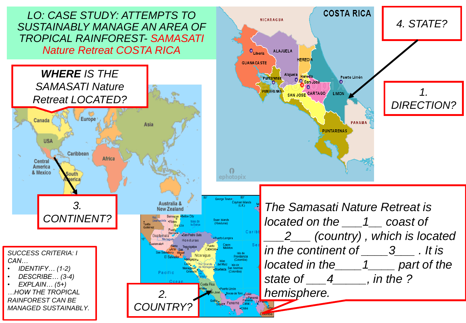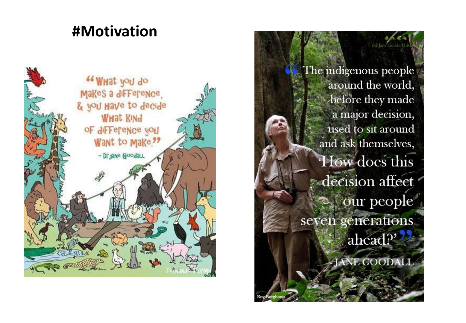# **#Motivation**



The indigenous people  $\overline{\phantom{a}}$ around the world, before they made a major decision, used to sit around and ask themselves, How does this decision affect our people seven generations ahead?' **JANE GOODALI** 

the lane Goodall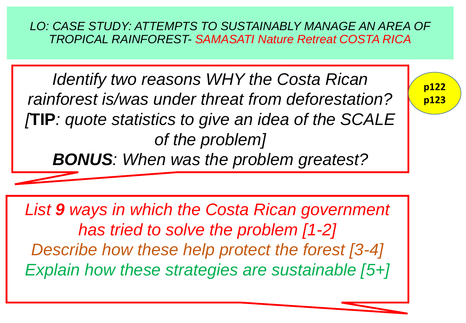*LO: CASE STUDY: ATTEMPTS TO SUSTAINABLY MANAGE AN AREA OF TROPICAL RAINFOREST- SAMASATI Nature Retreat COSTA RICA*

**p122**

**p123**

*Identify two reasons WHY the Costa Rican rainforest is/was under threat from deforestation? [***TIP***: quote statistics to give an idea of the SCALE of the problem]*

*BONUS: When was the problem greatest?*

*List 9 ways in which the Costa Rican government has tried to solve the problem [1-2] Describe how these help protect the forest [3-4] Explain how these strategies are sustainable [5+]*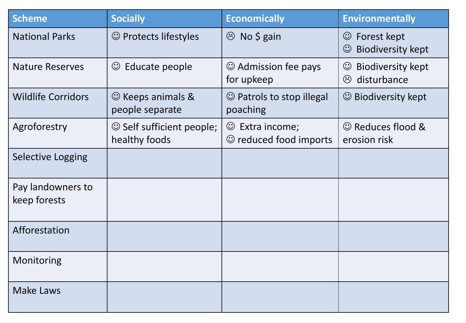| <b>Scheme</b>                     | <b>Socially</b>                            | <b>Economically</b>                                   | <b>Environmentally</b>                                        |
|-----------------------------------|--------------------------------------------|-------------------------------------------------------|---------------------------------------------------------------|
| <b>National Parks</b>             | © Protects lifestyles                      | $\circledcirc$ No \$ gain                             | Forest kept<br>$\odot$<br><b>Biodiversity kept</b><br>$\odot$ |
| <b>Nature Reserves</b>            | $\odot$<br>Educate people                  | $\odot$ Admission fee pays<br>for upkeep              | <b>Biodiversity kept</b><br>$\odot$<br>heta disturbance       |
| <b>Wildlife Corridors</b>         | $\odot$ Keeps animals &<br>people separate | $\odot$ Patrols to stop illegal<br>poaching           | © Biodiversity kept                                           |
| Agroforestry                      | Self sufficient people;<br>healthy foods   | $\odot$ Extra income;<br>$\odot$ reduced food imports | © Reduces flood &<br>erosion risk                             |
| <b>Selective Logging</b>          |                                            |                                                       |                                                               |
| Pay landowners to<br>keep forests |                                            |                                                       |                                                               |
| Afforestation                     |                                            |                                                       |                                                               |
| Monitoring                        |                                            |                                                       |                                                               |
| <b>Make Laws</b>                  |                                            |                                                       |                                                               |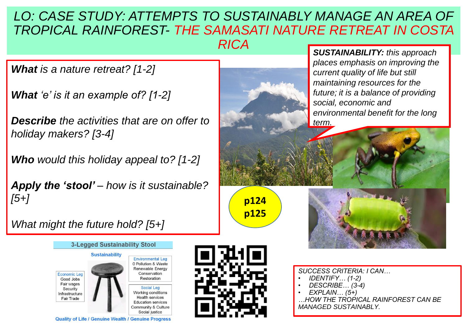#### LO: CASE STUDY: ATTEMPTS TO SUSTAINABLY MANAGE AN AREA OF *TROPICAL RAINFOREST- THE SAMASATI NATURE RETREAT IN COSTA RICA*

*What is a nature retreat? [1-2]*

*What 'e' is it an example of? [1-2]*

*Describe the activities that are on offer to holiday makers? [3-4]*

*Who would this holiday appeal to? [1-2]*

*Apply the 'stool' – how is it sustainable? [5+]*

*SUSTAINABILITY: this approach places emphasis on improving the current quality of life but still maintaining resources for the future; it is a balance of providing social, economic and environmental benefit for the long term.*

*What might the future hold? [5+]*







**p124**

**p125**

- *SUCCESS CRITERIA: I CAN…*
- *IDENTIFY… (1-2)*
- *DESCRIBE… (3-4)*
- *EXPLAIN… (5+)*

*…HOW THE TROPICAL RAINFOREST CAN BE MANAGED SUSTAINABLY.*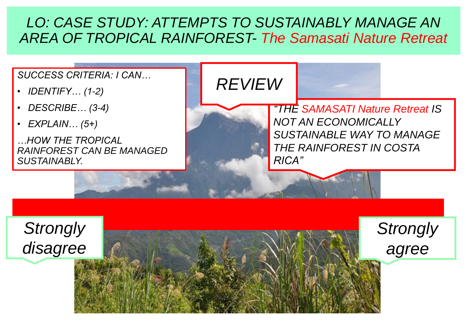### *LO: CASE STUDY: ATTEMPTS TO SUSTAINABLY MANAGE AN AREA OF TROPICAL RAINFOREST- The Samasati Nature Retreat*

#### *SUCCESS CRITERIA: I CAN…*

- *IDENTIFY… (1-2)*
- *DESCRIBE… (3-4)*
- *EXPLAIN… (5+)*

*…HOW THE TROPICAL RAINFOREST CAN BE MANAGED SUSTAINABLY.*

*REVIEW*

*"THE SAMASATI Nature Retreat IS NOT AN ECONOMICALLY SUSTAINABLE WAY TO MANAGE THE RAINFOREST IN COSTA RICA"*

*Strongly* 

*agree*